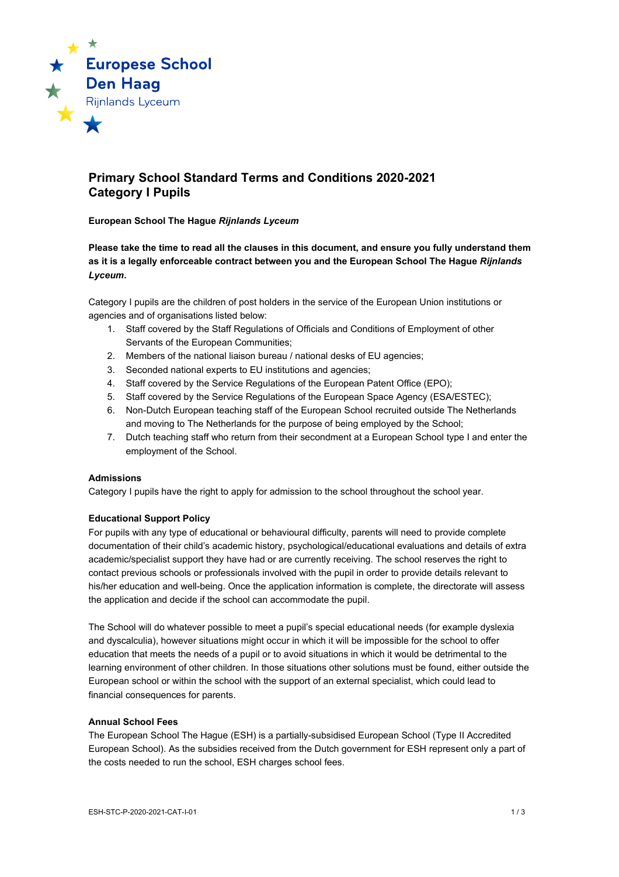

# **Primary School Standard Terms and Conditions 2020-2021 Category I Pupils**

### **European School The Hague** *Rijnlands Lyceum*

**Please take the time to read all the clauses in this document, and ensure you fully understand them as it is a legally enforceable contract between you and the European School The Hague** *Rijnlands Lyceum***.**

Category I pupils are the children of post holders in the service of the European Union institutions or agencies and of organisations listed below:

- 1. Staff covered by the Staff Regulations of Officials and Conditions of Employment of other Servants of the European Communities;
- 2. Members of the national liaison bureau / national desks of EU agencies;
- 3. Seconded national experts to EU institutions and agencies;
- 4. Staff covered by the Service Regulations of the European Patent Office (EPO);
- 5. Staff covered by the Service Regulations of the European Space Agency (ESA/ESTEC);
- 6. Non-Dutch European teaching staff of the European School recruited outside The Netherlands and moving to The Netherlands for the purpose of being employed by the School;
- 7. Dutch teaching staff who return from their secondment at a European School type I and enter the employment of the School.

#### **Admissions**

Category I pupils have the right to apply for admission to the school throughout the school year.

# **Educational Support Policy**

For pupils with any type of educational or behavioural difficulty, parents will need to provide complete documentation of their child's academic history, psychological/educational evaluations and details of extra academic/specialist support they have had or are currently receiving. The school reserves the right to contact previous schools or professionals involved with the pupil in order to provide details relevant to his/her education and well-being. Once the application information is complete, the directorate will assess the application and decide if the school can accommodate the pupil.

The School will do whatever possible to meet a pupil's special educational needs (for example dyslexia and dyscalculia), however situations might occur in which it will be impossible for the school to offer education that meets the needs of a pupil or to avoid situations in which it would be detrimental to the learning environment of other children. In those situations other solutions must be found, either outside the European school or within the school with the support of an external specialist, which could lead to financial consequences for parents.

#### **Annual School Fees**

The European School The Hague (ESH) is a partially-subsidised European School (Type II Accredited European School). As the subsidies received from the Dutch government for ESH represent only a part of the costs needed to run the school, ESH charges school fees.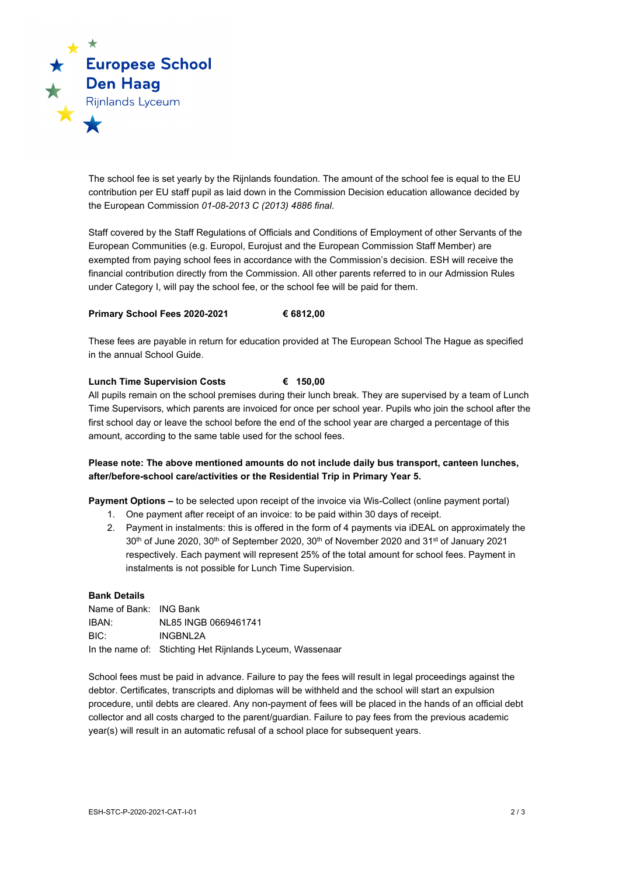

The school fee is set yearly by the Rijnlands foundation. The amount of the school fee is equal to the EU contribution per EU staff pupil as laid down in the Commission Decision education allowance decided by the European Commission *01-08-2013 C (2013) 4886 final*.

Staff covered by the Staff Regulations of Officials and Conditions of Employment of other Servants of the European Communities (e.g. Europol, Eurojust and the European Commission Staff Member) are exempted from paying school fees in accordance with the Commission's decision. ESH will receive the financial contribution directly from the Commission. All other parents referred to in our Admission Rules under Category I, will pay the school fee, or the school fee will be paid for them.

# **Primary School Fees 2020-2021 € 6812,00**

These fees are payable in return for education provided at The European School The Hague as specified in the annual School Guide.

## **Lunch Time Supervision Costs € 150,00**

All pupils remain on the school premises during their lunch break. They are supervised by a team of Lunch Time Supervisors, which parents are invoiced for once per school year. Pupils who join the school after the first school day or leave the school before the end of the school year are charged a percentage of this amount, according to the same table used for the school fees.

# **Please note: The above mentioned amounts do not include daily bus transport, canteen lunches, after/before-school care/activities or the Residential Trip in Primary Year 5.**

**Payment Options –** to be selected upon receipt of the invoice via Wis-Collect (online payment portal)

- 1. One payment after receipt of an invoice: to be paid within 30 days of receipt.
- 2. Payment in instalments: this is offered in the form of 4 payments via iDEAL on approximately the 30<sup>th</sup> of June 2020, 30<sup>th</sup> of September 2020, 30<sup>th</sup> of November 2020 and 31<sup>st</sup> of January 2021 respectively. Each payment will represent 25% of the total amount for school fees. Payment in instalments is not possible for Lunch Time Supervision.

#### **Bank Details**

Name of Bank: ING Bank IBAN: NL85 INGB 0669461741 BIC: INGBNL2A In the name of: Stichting Het Rijnlands Lyceum, Wassenaar

School fees must be paid in advance. Failure to pay the fees will result in legal proceedings against the debtor. Certificates, transcripts and diplomas will be withheld and the school will start an expulsion procedure, until debts are cleared. Any non-payment of fees will be placed in the hands of an official debt collector and all costs charged to the parent/guardian. Failure to pay fees from the previous academic year(s) will result in an automatic refusal of a school place for subsequent years.